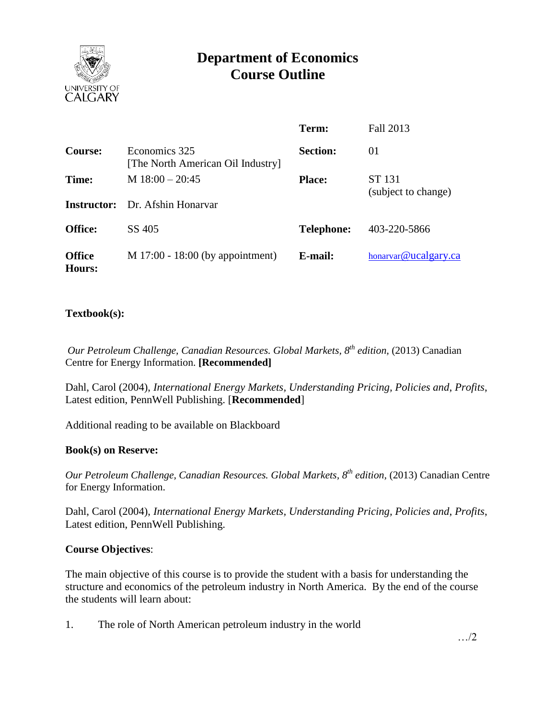

# **Department of Economics Course Outline**

|                         |                                                    | Term:             | Fall 2013                     |
|-------------------------|----------------------------------------------------|-------------------|-------------------------------|
| Course:                 | Economics 325<br>[The North American Oil Industry] | <b>Section:</b>   | 01                            |
| Time:                   | M $18:00 - 20:45$                                  | <b>Place:</b>     | ST 131<br>(subject to change) |
|                         | <b>Instructor:</b> Dr. Afshin Honaryar             |                   |                               |
| <b>Office:</b>          | SS 405                                             | <b>Telephone:</b> | 403-220-5866                  |
| <b>Office</b><br>Hours: | $M$ 17:00 - 18:00 (by appointment)                 | E-mail:           | honarvar@ucalgary.ca          |

## **Textbook(s):**

*Our Petroleum Challenge, Canadian Resources. Global Markets, 8th edition,* (2013) Canadian Centre for Energy Information. **[Recommended]**

Dahl, Carol (2004), *International Energy Markets, Understanding Pricing, Policies and*, *Profits*, Latest edition, PennWell Publishing. [**Recommended**]

Additional reading to be available on Blackboard

### **Book(s) on Reserve:**

*Our Petroleum Challenge, Canadian Resources. Global Markets, 8th edition,* (2013) Canadian Centre for Energy Information.

Dahl, Carol (2004), *International Energy Markets, Understanding Pricing, Policies and*, *Profits*, Latest edition, PennWell Publishing.

### **Course Objectives**:

The main objective of this course is to provide the student with a basis for understanding the structure and economics of the petroleum industry in North America. By the end of the course the students will learn about:

1. The role of North American petroleum industry in the world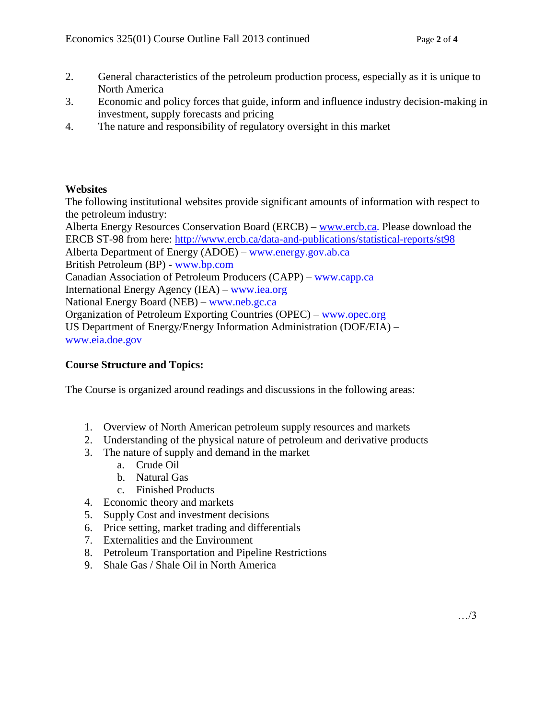- 2. General characteristics of the petroleum production process, especially as it is unique to North America
- 3. Economic and policy forces that guide, inform and influence industry decision-making in investment, supply forecasts and pricing
- 4. The nature and responsibility of regulatory oversight in this market

## **Websites**

The following institutional websites provide significant amounts of information with respect to the petroleum industry:

Alberta Energy Resources Conservation Board (ERCB) – [www.ercb.ca.](http://www.ercb.ca/) Please download the ERCB ST-98 from here:<http://www.ercb.ca/data-and-publications/statistical-reports/st98> Alberta Department of Energy (ADOE) – www.energy.gov.ab.ca British Petroleum (BP) - www.bp.com Canadian Association of Petroleum Producers (CAPP) – www.capp.ca International Energy Agency (IEA) – www.iea.org National Energy Board (NEB) – www.neb.gc.ca Organization of Petroleum Exporting Countries (OPEC) – www.opec.org US Department of Energy/Energy Information Administration (DOE/EIA) – www.eia.doe.gov

## **Course Structure and Topics:**

The Course is organized around readings and discussions in the following areas:

- 1. Overview of North American petroleum supply resources and markets
- 2. Understanding of the physical nature of petroleum and derivative products
- 3. The nature of supply and demand in the market
	- a. Crude Oil
	- b. Natural Gas
	- c. Finished Products
- 4. Economic theory and markets
- 5. Supply Cost and investment decisions
- 6. Price setting, market trading and differentials
- 7. Externalities and the Environment
- 8. Petroleum Transportation and Pipeline Restrictions
- 9. Shale Gas / Shale Oil in North America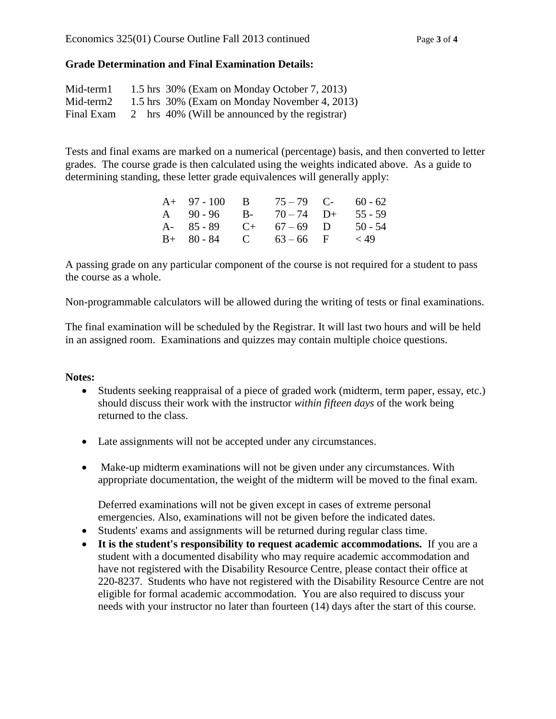## **Grade Determination and Final Examination Details:**

| Mid-term1  |  | 1.5 hrs 30% (Exam on Monday October 7, 2013)   |
|------------|--|------------------------------------------------|
| Mid-term2  |  | 1.5 hrs 30% (Exam on Monday November 4, 2013)  |
| Final Exam |  | 2 hrs 40% (Will be announced by the registrar) |

Tests and final exams are marked on a numerical (percentage) basis, and then converted to letter grades. The course grade is then calculated using the weights indicated above. As a guide to determining standing, these letter grade equivalences will generally apply:

| $A+ 97-100$ B           | $75 - 79$ C- | $60 - 62$ |
|-------------------------|--------------|-----------|
| A $90-96$ B- $70-74$ D+ |              | $55 - 59$ |
| A- $85-89$ C+ $67-69$ D |              | $50 - 54$ |
| $B+ 80-84$ C $63-66$ F  |              | ${1, 49}$ |

A passing grade on any particular component of the course is not required for a student to pass the course as a whole.

Non-programmable calculators will be allowed during the writing of tests or final examinations.

The final examination will be scheduled by the Registrar. It will last two hours and will be held in an assigned room. Examinations and quizzes may contain multiple choice questions.

### **Notes:**

- Students seeking reappraisal of a piece of graded work (midterm, term paper, essay, etc.) should discuss their work with the instructor *within fifteen days* of the work being returned to the class.
- Late assignments will not be accepted under any circumstances.
- Make-up midterm examinations will not be given under any circumstances. With appropriate documentation, the weight of the midterm will be moved to the final exam.

Deferred examinations will not be given except in cases of extreme personal emergencies. Also, examinations will not be given before the indicated dates.

- Students' exams and assignments will be returned during regular class time.
- **It is the student's responsibility to request academic accommodations.** If you are a student with a documented disability who may require academic accommodation and have not registered with the Disability Resource Centre, please contact their office at 220-8237. Students who have not registered with the Disability Resource Centre are not eligible for formal academic accommodation. You are also required to discuss your needs with your instructor no later than fourteen (14) days after the start of this course.